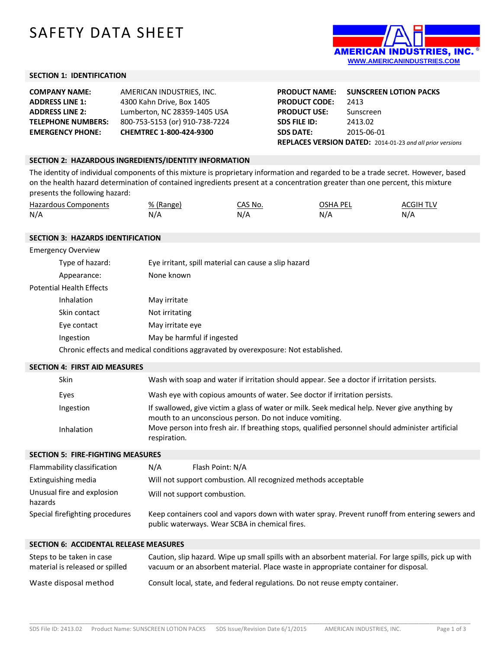# SAFETY DATA SHEET



### **SECTION 1: IDENTIFICATION**

| <b>COMPANY NAME:</b>      | AMERICAN INDUSTRIES, INC.      |
|---------------------------|--------------------------------|
| <b>ADDRESS LINE 1:</b>    | 4300 Kahn Drive, Box 1405      |
| <b>ADDRESS LINE 2:</b>    | Lumberton, NC 28359-1405 USA   |
| <b>TELEPHONE NUMBERS:</b> | 800-753-5153 (or) 910-738-7224 |
| <b>EMERGENCY PHONE:</b>   | CHEMTREC 1-800-424-9300        |

**PRODUCT NAME: SUNSCREEN LOTION PACKS PRODUCT CODE:** 2413 **PRODUCT USE:** Sunscreen **SDS FILE ID:** 2413.02 **SDS DATE:** 2015-06-01 **REPLACES VERSION DATED:** 2014-01-23 *and all prior versions*

#### **SECTION 2: HAZARDOUS INGREDIENTS/IDENTITY INFORMATION**

The identity of individual components of this mixture is proprietary information and regarded to be a trade secret. However, based on the health hazard determination of contained ingredients present at a concentration greater than one percent, this mixture presents the following hazard:

| <b>Hazardous Components</b> | % (Range | CAS No. | OSHA PEI | ACGIH TLV |
|-----------------------------|----------|---------|----------|-----------|
| N/A                         |          | N/A     | N/A      | N/A       |

#### **SECTION 3: HAZARDS IDENTIFICATION**

| <b>Emergency Overview</b> |                                                                                     |
|---------------------------|-------------------------------------------------------------------------------------|
| Type of hazard:           | Eye irritant, spill material can cause a slip hazard                                |
| Appearance:               | None known                                                                          |
| Potential Health Effects  |                                                                                     |
| Inhalation                | May irritate                                                                        |
| Skin contact              | Not irritating                                                                      |
| Eye contact               | May irritate eye                                                                    |
| Ingestion                 | May be harmful if ingested                                                          |
|                           | Chronic effects and medical conditions aggravated by overexposure: Not established. |

#### **SECTION 4: FIRST AID MEASURES**

| Skin       | Wash with soap and water if irritation should appear. See a doctor if irritation persists.                                                               |
|------------|----------------------------------------------------------------------------------------------------------------------------------------------------------|
| Eyes       | Wash eye with copious amounts of water. See doctor if irritation persists.                                                                               |
| Ingestion  | If swallowed, give victim a glass of water or milk. Seek medical help. Never give anything by<br>mouth to an unconscious person. Do not induce vomiting. |
| Inhalation | Move person into fresh air. If breathing stops, qualified personnel should administer artificial<br>respiration.                                         |

#### **SECTION 5: FIRE-FIGHTING MEASURES**

| Flammability classification           | N/A                                                            | Flash Point: N/A                                                                                                                                 |
|---------------------------------------|----------------------------------------------------------------|--------------------------------------------------------------------------------------------------------------------------------------------------|
| Extinguishing media                   | Will not support combustion. All recognized methods acceptable |                                                                                                                                                  |
| Unusual fire and explosion<br>hazards |                                                                | Will not support combustion.                                                                                                                     |
| Special firefighting procedures       |                                                                | Keep containers cool and vapors down with water spray. Prevent runoff from entering sewers and<br>public waterways. Wear SCBA in chemical fires. |

| Steps to be taken in case       | Caution, slip hazard. Wipe up small spills with an absorbent material. For large spills, pick up with |
|---------------------------------|-------------------------------------------------------------------------------------------------------|
| material is released or spilled | vacuum or an absorbent material. Place waste in appropriate container for disposal.                   |
| Waste disposal method           | Consult local, state, and federal regulations. Do not reuse empty container.                          |

\_\_\_\_\_\_\_\_\_\_\_\_\_\_\_\_\_\_\_\_\_\_\_\_\_\_\_\_\_\_\_\_\_\_\_\_\_\_\_\_\_\_\_\_\_\_\_\_\_\_\_\_\_\_\_\_\_\_\_\_\_\_\_\_\_\_\_\_\_\_\_\_\_\_\_\_\_\_\_\_\_\_\_\_\_\_\_\_\_\_\_\_\_\_\_\_\_\_\_\_\_\_\_\_\_\_\_\_\_\_\_\_\_\_\_\_\_\_\_\_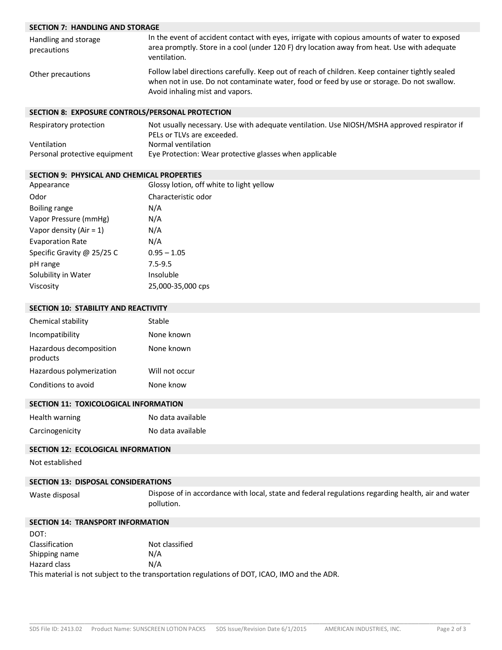# **SECTION 7: HANDLING AND STORAGE**

| Handling and storage<br>precautions | In the event of accident contact with eyes, irrigate with copious amounts of water to exposed<br>area promptly. Store in a cool (under 120 F) dry location away from heat. Use with adequate<br>ventilation.                     |
|-------------------------------------|----------------------------------------------------------------------------------------------------------------------------------------------------------------------------------------------------------------------------------|
| Other precautions                   | Follow label directions carefully. Keep out of reach of children. Keep container tightly sealed<br>when not in use. Do not contaminate water, food or feed by use or storage. Do not swallow.<br>Avoid inhaling mist and vapors. |

#### **SECTION 8: EXPOSURE CONTROLS/PERSONAL PROTECTION**

| Respiratory protection        | Not usually necessary. Use with adequate ventilation. Use NIOSH/MSHA approved respirator if |
|-------------------------------|---------------------------------------------------------------------------------------------|
|                               | PELs or TLVs are exceeded.                                                                  |
| Ventilation                   | Normal ventilation                                                                          |
| Personal protective equipment | Eye Protection: Wear protective glasses when applicable                                     |

### **SECTION 9: PHYSICAL AND CHEMICAL PROPERTIES**

| Appearance                 | Glossy lotion, off white to light yellow |
|----------------------------|------------------------------------------|
| Odor                       | Characteristic odor                      |
| Boiling range              | N/A                                      |
| Vapor Pressure (mmHg)      | N/A                                      |
| Vapor density (Air = $1$ ) | N/A                                      |
| <b>Evaporation Rate</b>    | N/A                                      |
| Specific Gravity @ 25/25 C | $0.95 - 1.05$                            |
| pH range                   | $7.5 - 9.5$                              |
| Solubility in Water        | Insoluble                                |
| Viscosity                  | 25,000-35,000 cps                        |

### **SECTION 10: STABILITY AND REACTIVITY**

| None known<br>Incompatibility<br>None known<br>Hazardous decomposition<br>products<br>Hazardous polymerization<br>Will not occur<br>None know<br>Conditions to avoid | Chemical stability | Stable |
|----------------------------------------------------------------------------------------------------------------------------------------------------------------------|--------------------|--------|
|                                                                                                                                                                      |                    |        |
|                                                                                                                                                                      |                    |        |
|                                                                                                                                                                      |                    |        |
|                                                                                                                                                                      |                    |        |

# **SECTION 11: TOXICOLOGICAL INFORMATION**

| Health warning  | No data available |
|-----------------|-------------------|
| Carcinogenicity | No data available |

# **SECTION 12: ECOLOGICAL INFORMATION**

Not established

## **SECTION 13: DISPOSAL CONSIDERATIONS**

Waste disposal Dispose of in accordance with local, state and federal regulations regarding health, air and water pollution.

#### **SECTION 14: TRANSPORT INFORMATION**

| DOT:           |                                                                                               |
|----------------|-----------------------------------------------------------------------------------------------|
| Classification | Not classified                                                                                |
| Shipping name  | N/A                                                                                           |
| Hazard class   | N/A                                                                                           |
|                | This material is not subject to the transportation regulations of DOT, ICAO, IMO and the ADR. |

\_\_\_\_\_\_\_\_\_\_\_\_\_\_\_\_\_\_\_\_\_\_\_\_\_\_\_\_\_\_\_\_\_\_\_\_\_\_\_\_\_\_\_\_\_\_\_\_\_\_\_\_\_\_\_\_\_\_\_\_\_\_\_\_\_\_\_\_\_\_\_\_\_\_\_\_\_\_\_\_\_\_\_\_\_\_\_\_\_\_\_\_\_\_\_\_\_\_\_\_\_\_\_\_\_\_\_\_\_\_\_\_\_\_\_\_\_\_\_\_